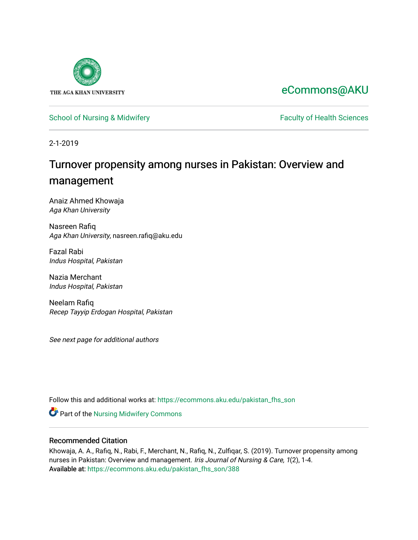

# [eCommons@AKU](https://ecommons.aku.edu/)

# [School of Nursing & Midwifery](https://ecommons.aku.edu/pakistan_fhs_son) **Faculty of Health Sciences** Faculty of Health Sciences

2-1-2019

# Turnover propensity among nurses in Pakistan: Overview and management

Anaiz Ahmed Khowaja Aga Khan University

Nasreen Rafiq Aga Khan University, nasreen.rafiq@aku.edu

Fazal Rabi Indus Hospital, Pakistan

Nazia Merchant Indus Hospital, Pakistan

Neelam Rafiq Recep Tayyip Erdogan Hospital, Pakistan

See next page for additional authors

Follow this and additional works at: [https://ecommons.aku.edu/pakistan\\_fhs\\_son](https://ecommons.aku.edu/pakistan_fhs_son?utm_source=ecommons.aku.edu%2Fpakistan_fhs_son%2F388&utm_medium=PDF&utm_campaign=PDFCoverPages) 

**Part of the Nursing Midwifery Commons** 

# Recommended Citation

Khowaja, A. A., Rafiq, N., Rabi, F., Merchant, N., Rafiq, N., Zulfiqar, S. (2019). Turnover propensity among nurses in Pakistan: Overview and management. Iris Journal of Nursing & Care, 1(2), 1-4. Available at: [https://ecommons.aku.edu/pakistan\\_fhs\\_son/388](https://ecommons.aku.edu/pakistan_fhs_son/388)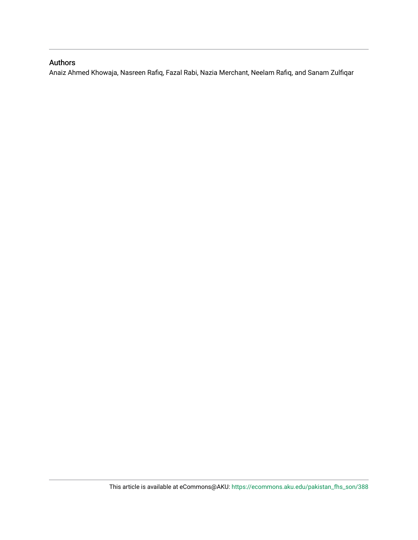# Authors

Anaiz Ahmed Khowaja, Nasreen Rafiq, Fazal Rabi, Nazia Merchant, Neelam Rafiq, and Sanam Zulfiqar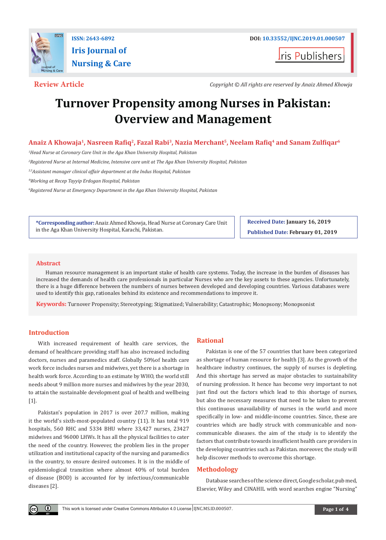

**I**ris Publishers

**Review Article** *Copyright © All rights are reserved by Anaiz Ahmed Khowja*

# **Turnover Propensity among Nurses in Pakistan: Overview and Management**

# **Anaiz A Khowaja1, Nasreen Rafiq2, Fazal Rabi3, Nazia Merchant5, Neelam Rafiq<sup>4</sup> and Sanam Zulfiqar<sup>6</sup>**

*1 Head Nurse at Coronary Care Unit in the Aga Khan University Hospital, Pakistan* 

*2 Registered Nurse at Internal Medicine, Intensive care unit at The Aga Khan University Hospital, Pakistan*

*3,5Assistant manager clinical affair department at the Indus Hospital, Pakistan*

*4 Working at Recep Tayyip Erdogan Hospital, Pakistan*

*6 Registered Nurse at Emergency Department in the Aga Khan University Hospital, Pakistan*

**\*Corresponding author:** Anaiz Ahmed Khowja, Head Nurse at Coronary Care Unit in the Aga Khan University Hospital, Karachi, Pakistan.

**Received Date: January 16, 2019 Published Date: February 01, 2019**

### **Abstract**

Human resource management is an important stake of health care systems. Today, the increase in the burden of diseases has increased the demands of health care professionals in particular Nurses who are the key assets to these agencies. Unfortunately, there is a huge difference between the numbers of nurses between developed and developing countries. Various databases were used to identify this gap, rationales behind its existence and recommendations to improve it.

**Keywords:** Turnover Propensity; Stereotyping; Stigmatized; Vulnerability; Catastrophic; Monopsony; Monopsonist

### **Introduction**

 $\odot$ 

With increased requirement of health care services, the demand of healthcare providing staff has also increased including doctors, nurses and paramedics staff. Globally 50%of health care work force includes nurses and midwives, yet there is a shortage in health work force. According to an estimate by WHO, the world still needs about 9 million more nurses and midwives by the year 2030, to attain the sustainable development goal of health and wellbeing [1].

Pakistan's population in 2017 is over 207.7 million, making it the world's sixth-most-populated country (11). It has total 919 hospitals, 560 RHC and 5334 BHU where 33,427 nurses, 23427 midwives and 96000 LHWs. It has all the physical facilities to cater the need of the country. However, the problem lies in the proper utilization and institutional capacity of the nursing and paramedics in the country, to ensure desired outcomes. It is in the middle of epidemiological transition where almost 40% of total burden of disease (BOD) is accounted for by infectious/communicable diseases [2].

#### **Rational**

Pakistan is one of the 57 countries that have been categorized as shortage of human resource for health [3]. As the growth of the healthcare industry continues, the supply of nurses is depleting. And this shortage has served as major obstacles to sustainability of nursing profession. It hence has become very important to not just find out the factors which lead to this shortage of nurses, but also the necessary measures that need to be taken to prevent this continuous unavailability of nurses in the world and more specifically in low- and middle-income countries. Since, these are countries which are badly struck with communicable and noncommunicable diseases. the aim of the study is to identify the factors that contribute towards insufficient health care providers in the developing countries such as Pakistan. moreover, the study will help discover methods to overcome this shortage.

# **Methodology**

Database searches of the science direct, Google scholar, pub med, Elsevier, Wiley and CINAHIL with word searches engine "Nursing"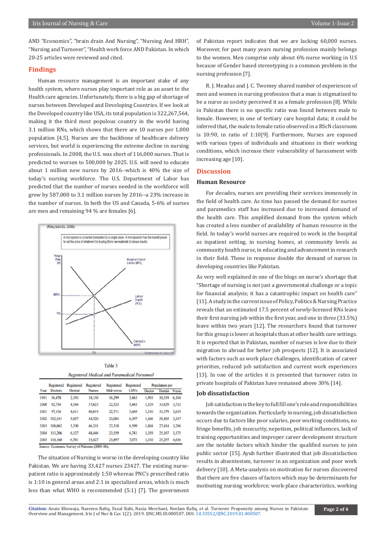AND "Economics", "brain drain And Nursing", "Nursing And HRH", "Nursing and Turnover", "Health work force AND Pakistan. In which 20-25 articles were reviewed and cited.

#### **Findings**

Human resource management is an important stake of any health system, where nurses play important role as an asset to the Health care agencies. Unfortunately, there is a big gap of shortage of nurses between Developed and Developing Countries. If we look at the Developed country like USA, its total population is 322,267,564, making it the third most populous country in the world having 3.1 million RNs, which shows that there are 10 nurses per 1,000 population [4,5]. Nurses are the backbone of healthcare delivery services, but world is experiencing the extreme decline in nursing professionals. In 2008, the U.S. was short of 116,000 nurses. That is predicted to worsen to 500,000 by 2025. U.S. will need to educate about 1 million new nurses by 2016--which is 40% the size of today's nursing workforce. The U.S. Department of Labor has predicted that the number of nurses needed in the workforce will grow by 587,000 to 3.1 million nurses by 2016--a 23% increase in the number of nurses. In both the US and Canada, 5-6% of nurses are men and remaining 94 % are females [6].



Table 3 Registered Medical and Paramedical Personnel

| Year | Registered<br><b>Doctors</b> | Registered<br>Dentist | Registered<br><b>Nurses</b> | Registered<br>Mid-wives | Registered<br><b>LHVs</b> | <b>Population</b> per |                |              |
|------|------------------------------|-----------------------|-----------------------------|-------------------------|---------------------------|-----------------------|----------------|--------------|
|      |                              |                       |                             |                         |                           | Doctor                | <b>Dentist</b> | <b>Nurse</b> |
| 1991 | 56,478                       | 2,193                 | 18,150                      | 16,299                  | 3,463                     | 1,993                 | 50,519         | 6,104        |
| 2000 | 92,734                       | 4,164                 | 37,623                      | 22,525                  | 5,443                     | 1,529                 | 33,629         | 3,732        |
| 2001 | 97,156                       | 4,611                 | 40,019                      | 22,711                  | 5,669                     | 1,516                 | 31,579         | 3,639        |
| 2002 | 102,541                      | 5,057                 | 44,520                      | 23,084                  | 6,397                     | 1.466                 | 29,405         | 3,347        |
| 2003 | 108,062                      | 5,530                 | 46,331                      | 23,318                  | 6,599                     | 1,404                 | 27,414         | 3,296        |
| 2004 | 113,206                      | 6,127                 | 48,446                      | 23,559                  | 6,741                     | 1,359                 | 25,107         | 3,175        |
| 2005 | 118,160                      | 6,761                 | 33,427                      | 23,897                  | 7.073                     | 1,310                 | 25,297         | 4,636        |

Source: Economic Survey of Pakistan (2005-06).

The situation of Nursing is worse in the developing country like Pakistan. We are having 33,427 nurses 23427. The existing nursepatient ratio is approximately 1:50 whereas PNC's prescribed ratio is 1:10 in general areas and 2:1 in specialized areas, which is much less than what WHO is recommended (5:1) [7]. The government of Pakistan report indicates that we are lacking 60,000 nurses. Moreover, for past many years nursing profession mainly belongs to the women. Men comprise only about 6% nurse working in U.S because of Gender based stereotyping is a common problem in the nursing profession [7].

R. J. Meadus and J. C. Twomey shared number of experiences of men and women in nursing profession that a man is stigmatized to be a nurse as society perceived it as a female profession [8]. While in Pakistan there is no specific ratio was found between male to female. However, in one of tertiary care hospital data; it could be inferred that, the male to female ratio observed in a BScN classroom is 10:90, in ratio of 1:10[9]. Furthermore, Nurses are exposed with various types of individuals and situations in their working conditions, which increase their vulnerability of harassment with increasing age [10].

#### **Discussion**

#### **Human Resource**

For decades, nurses are providing their services immensely in the field of health care. As time has passed the demand for nurses and paramedics staff has increased due to increased demand of the health care. This amplified demand from the system which has created a less number of availability of human resource in the field. In today's world nurses are required to work in the hospital as inpatient setting, in nursing homes, at community levels as community health nurse, in educating and advancement in research in their field. These in response double the demand of nurses in developing countries like Pakistan.

As very well explained in one of the blogs on nurse's shortage that "Shortage of nursing is not just a governmental challenge or a topic for financial analysis; it has a catastrophic impact on health care" [11]. A study in the current issue of Policy, Politics & Nursing Practice reveals that an estimated 17.5 percent of newly-licensed RNs leave their first nursing job within the first year, and one in three (33.5%) leave within two years [12]. The researchers found that turnover for this group is lower at hospitals than at other health care settings. It is reported that in Pakistan, number of nurses is low due to their migration to abroad for better job prospects [12]. It is associated with factors such as work place challenges, identification of career priorities, reduced job satisfaction and current work experiences [13]. In one of the articles it is presented that turnover rates in private hospitals of Pakistan have remained above 30% [14].

#### **Job dissatisfaction**

Job satisfaction is the key to full fill one's role and responsibilities towards the organization. Particularly in nursing, job dissatisfaction occurs due to factors like poor salaries, poor working conditions, no fringe benefits, job insecurity, nepotism, political influences, lack of training opportunities and improper career development structure are the notable factors which hinder the qualified nurses to join public sector [15]. Ayub further illustrated that job dissatisfaction results in absenteeism, turnover in an organization and poor work delivery [10]. A Meta-analysis on motivation for nurses discovered that there are five classes of factors which may be determinants for motivating nursing workforce; work-place characteristics, working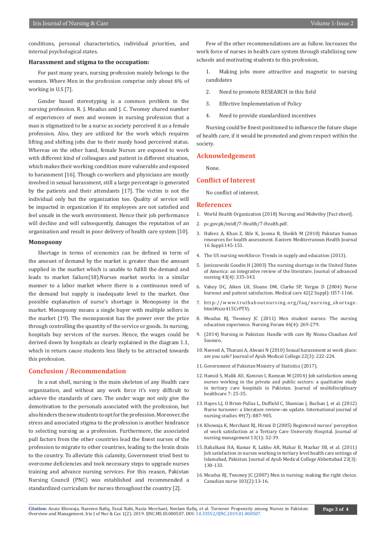conditions, personal characteristics, individual priorities, and internal psychological states.

#### **Harassment and stigma to the occupation:**

For past many years, nursing profession mainly belongs to the women. Where Men in the profession comprise only about 6% of working in U.S [7].

Gender based stereotyping is a common problem in the nursing profession. R. J. Meadus and J. C. Twomey shared number of experiences of men and women in nursing profession that a man is stigmatized to be a nurse as society perceived it as a female profession. Also, they are utilized for the work which requires lifting and shifting jobs due to their manly hood perceived status. Whereas on the other hand, female Nurses are exposed to work with different kind of colleagues and patient in different situation, which makes their working condition more vulnerable and exposed to harassment [16]. Though co-workers and physicians are mostly involved in sexual harassment, still a large percentage is generated by the patients and their attendants [17]. The victim is not the individual only but the organization too. Quality of service will be impacted in organization if its employees are not satisfied and feel unsafe in the work environment. Hence their job performance will decline and will subsequently, damages the reputation of an organization and result in poor delivery of health care system [10].

#### **Monopsony**

Shortage in terms of economics can be defined in term of the amount of demand by the market is greater than the amount supplied in the market which is unable to fulfill the demand and leads to market failure(18).Nurses market works in a similar manner to a labor market where there is a continuous need of the demand but supply is inadequate level to the market. One possible explanation of nurse's shortage is Monopsony in the market. Monopsony means a single buyer with multiple sellers in the market (19). The monopsonist has the power over the prize through controlling the quantity of the service or goods. In nursing, hospitals buy services of the nurses. Hence, the wages could be derived down by hospitals as clearly explained in the diagram 1.1, which in return cause students less likely to be attracted towards this profession.

#### **Conclusion / Recommendation**

In a nut shell, nursing is the main skeleton of any Health care organization, and without any work force it's very difficult to achieve the standards of care. The under wage not only give the demotivation to the personals associated with the profession, but also hinders the new students to opt for the profession. Moreover, the stress and associated stigma to the profession is another hindrance to selecting nursing as a profession. Furthermore, the associated pull factors from the other countries lead the finest nurses of the profession to migrate to other countries, leading to the brain drain to the country. To alleviate this calamity, Government tried best to overcome deficiencies and took necessary steps to upgrade nurses training and advance nursing services. For this reason, Pakistan Nursing Council (PNC) was established and recommended a standardized curriculum for nurses throughout the country [2].

Few of the other recommendations are as follow. Increases the work force of nurses in health care system through stabilizing new schools and motivating students to this profession,

1. Making jobs more attractive and magnetic to nursing candidates

- 2. Need to promote RESEARCH in this field
- 3. Effective Implementation of Policy
- 4. Need to provide standardized incentives

Nursing could be finest positioned to influence the future shape of health care, if it would be promoted and given respect within the society.

#### **Acknowledgement**

None.

### **Conflict of Interest**

No conflict of interest.

#### **References**

- 1. [World Health Organization \(2018\) Nursing and Midwifey \[Fact sheet\].](https://www.who.int/mediacentre/factsheets/nursing-midwifery/en/)
- 2. pc.gov.pk/mtdf/7-Health/7-Health.pdf.
- 3. [Hafeez A, Khan Z, Bile K, Jooma R, Sheikh M \(2010\) Pakistan human](https://www.ncbi.nlm.nih.gov/pubmed/21495600)  [resources for health assessment. Eastern Mediterranean Health Journal](https://www.ncbi.nlm.nih.gov/pubmed/21495600)  [16 Suppl:145-151](https://www.ncbi.nlm.nih.gov/pubmed/21495600).
- 4. [The US nursing workforce: Trends in supply and education \(2013\).](https://bhw.hrsa.gov/sites/default/files/bhw/nchwa/projections/nursingworkforcetrendsoct2013.pdf)
- 5. [Janiszewski Goodin H \(2003\) The nursing shortage in the United States](https://www.ncbi.nlm.nih.gov/pubmed/12887349)  [of America: an integrative review of the literature. Journal of advanced](https://www.ncbi.nlm.nih.gov/pubmed/12887349)  [nursing 43\(4\): 335-343.](https://www.ncbi.nlm.nih.gov/pubmed/12887349)
- 6. [Vahey DC, Aiken LH, Sloane DM, Clarke SP, Vargas D \(2004\) Nurse](https://www.ncbi.nlm.nih.gov/pubmed/14734943)  [burnout and patient satisfaction. Medical care 42\(2 Suppl\): II57-1166.](https://www.ncbi.nlm.nih.gov/pubmed/14734943)
- 7. http://www.truthaboutnursing.org/faq/nursing\_shortage. html#ixzz415CrPTVj.
- 8. [Meadus RJ, Twomey JC \(2011\) Men student nurses: The nursing](https://www.ncbi.nlm.nih.gov/pubmed/22029770)  [education experience. Nursing Forum 46\(4\): 269-279.](https://www.ncbi.nlm.nih.gov/pubmed/22029770)
- 9. (2014) Nursing in Pakistan: Handle with care By Nisma Chauhan Arif Soomro.
- 10. [Naveed A, Tharani A, Alwani N \(2010\) Sexual harassment at work place:](https://ecommons.aku.edu/cgi/viewcontent.cgi?referer=https://www.google.com/&httpsredir=1&article=1003&context=pakistan_fhs_son)  [are you safe? Journal of Ayub Medical College 22\(3\): 222-224](https://ecommons.aku.edu/cgi/viewcontent.cgi?referer=https://www.google.com/&httpsredir=1&article=1003&context=pakistan_fhs_son).
- 11. [Government of Pakistan Ministry of Statistics \(2017\).](http://www.statistics.gov.pk/census-results.html)
- 12. [Hamid S, Malik AU, Kamran I, Ramzan M \(2014\) Job satisfaction among](https://www.ncbi.nlm.nih.gov/pmc/articles/PMC3887073/)  [nurses working in the private and public sectors: a qualitative study](https://www.ncbi.nlm.nih.gov/pmc/articles/PMC3887073/)  [in tertiary care hospitals in Pakistan. Journal of multidisciplinary](https://www.ncbi.nlm.nih.gov/pmc/articles/PMC3887073/)  [healthcare 7: 25-35.](https://www.ncbi.nlm.nih.gov/pmc/articles/PMC3887073/)
- 13. [Hayes LJ, O Brien-Pallas L, Duffield C, Shamian J, Buchan J, et al. \(2012\)](https://www.ncbi.nlm.nih.gov/pubmed/22019402)  [Nurse turnover: a literature review–an update. International journal of](https://www.ncbi.nlm.nih.gov/pubmed/22019402)  [nursing studies 49\(7\): 887-905.](https://www.ncbi.nlm.nih.gov/pubmed/22019402)
- 14. [Khowaja K, Merchant RJ, Hirani D \(2005\) Registered nurses' perception](https://www.ncbi.nlm.nih.gov/pubmed/15613092)  [of work satisfaction at a Tertiary Care University Hospital. Journal of](https://www.ncbi.nlm.nih.gov/pubmed/15613092)  [nursing management 13\(1\): 32-39.](https://www.ncbi.nlm.nih.gov/pubmed/15613092)
- 15. [Bahalkani HA, Kumar R, Lakho AR, Mahar B, Mazhar SB, et al. \(2011\)](https://www.ncbi.nlm.nih.gov/pubmed/23272454)  [Job satisfaction in nurses working in tertiary level health care settings of](https://www.ncbi.nlm.nih.gov/pubmed/23272454)  [Islamabad, Pakistan. Journal of Ayub Medical College Abbottabad 23\(3\):](https://www.ncbi.nlm.nih.gov/pubmed/23272454)  [130-133.](https://www.ncbi.nlm.nih.gov/pubmed/23272454)
- 16. [Meadus RJ, Twomey JC \(2007\) Men in nursing: making the right choice.](https://www.ncbi.nlm.nih.gov/pubmed/17326582)  [Canadian nurse 103\(2\):13-16.](https://www.ncbi.nlm.nih.gov/pubmed/17326582)